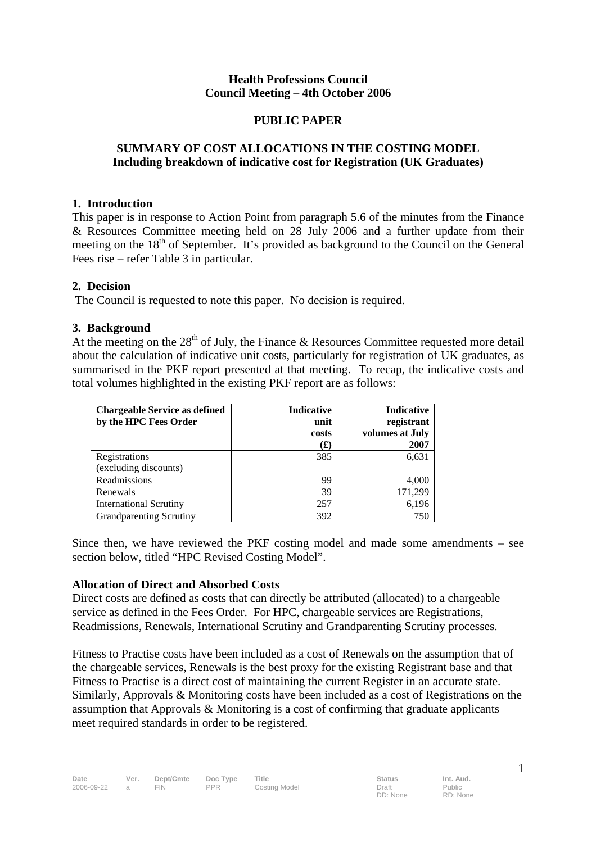## **Health Professions Council Council Meeting – 4th October 2006**

## **PUBLIC PAPER**

## **SUMMARY OF COST ALLOCATIONS IN THE COSTING MODEL Including breakdown of indicative cost for Registration (UK Graduates)**

#### **1. Introduction**

This paper is in response to Action Point from paragraph 5.6 of the minutes from the Finance & Resources Committee meeting held on 28 July 2006 and a further update from their meeting on the 18<sup>th</sup> of September. It's provided as background to the Council on the General Fees rise – refer Table 3 in particular.

## **2. Decision**

The Council is requested to note this paper. No decision is required.

## **3. Background**

At the meeting on the  $28<sup>th</sup>$  of July, the Finance & Resources Committee requested more detail about the calculation of indicative unit costs, particularly for registration of UK graduates, as summarised in the PKF report presented at that meeting. To recap, the indicative costs and total volumes highlighted in the existing PKF report are as follows:

| <b>Chargeable Service as defined</b><br>by the HPC Fees Order | <b>Indicative</b><br>unit<br>costs<br>$\mathbf f(x)$ | <b>Indicative</b><br>registrant<br>volumes at July<br>2007 |
|---------------------------------------------------------------|------------------------------------------------------|------------------------------------------------------------|
| Registrations                                                 | 385                                                  | 6,631                                                      |
| (excluding discounts)                                         |                                                      |                                                            |
| Readmissions                                                  | 99                                                   | 4,000                                                      |
| Renewals                                                      | 39                                                   | 171,299                                                    |
| <b>International Scrutiny</b>                                 | 257                                                  | 6,196                                                      |
| <b>Grandparenting Scrutiny</b>                                | 392                                                  | 750                                                        |

Since then, we have reviewed the PKF costing model and made some amendments – see section below, titled "HPC Revised Costing Model".

## **Allocation of Direct and Absorbed Costs**

Direct costs are defined as costs that can directly be attributed (allocated) to a chargeable service as defined in the Fees Order. For HPC, chargeable services are Registrations, Readmissions, Renewals, International Scrutiny and Grandparenting Scrutiny processes.

Fitness to Practise costs have been included as a cost of Renewals on the assumption that of the chargeable services, Renewals is the best proxy for the existing Registrant base and that Fitness to Practise is a direct cost of maintaining the current Register in an accurate state. Similarly, Approvals & Monitoring costs have been included as a cost of Registrations on the assumption that Approvals & Monitoring is a cost of confirming that graduate applicants meet required standards in order to be registered.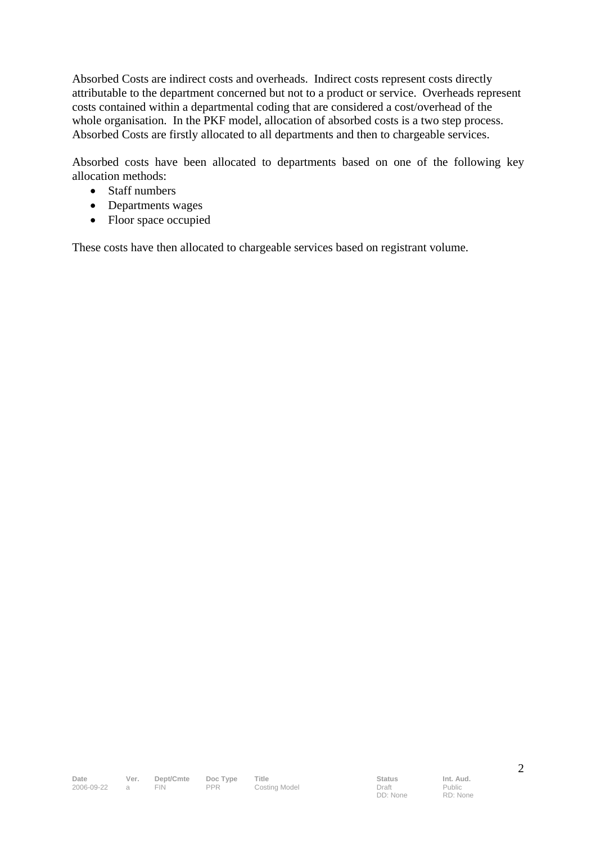Absorbed Costs are indirect costs and overheads. Indirect costs represent costs directly attributable to the department concerned but not to a product or service. Overheads represent costs contained within a departmental coding that are considered a cost/overhead of the whole organisation. In the PKF model, allocation of absorbed costs is a two step process. Absorbed Costs are firstly allocated to all departments and then to chargeable services.

Absorbed costs have been allocated to departments based on one of the following key allocation methods:

- Staff numbers
- Departments wages
- Floor space occupied

These costs have then allocated to chargeable services based on registrant volume.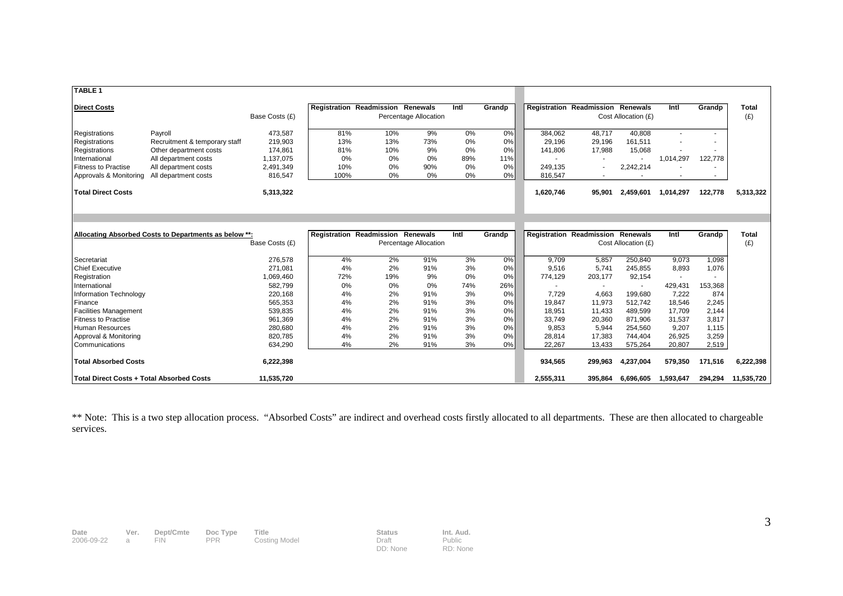| <b>TABLE 1</b>                            |                                                       |                |      |                                          |                       |      |        |           |                                 |                                 |           |                          |                     |
|-------------------------------------------|-------------------------------------------------------|----------------|------|------------------------------------------|-----------------------|------|--------|-----------|---------------------------------|---------------------------------|-----------|--------------------------|---------------------|
| <b>Direct Costs</b>                       |                                                       |                |      | Registration Readmission Renewals        |                       | Intl | Grandp |           | <b>Registration Readmission</b> | <b>Renewals</b>                 | Intl      | Grandp                   | <b>Total</b>        |
|                                           |                                                       | Base Costs (£) |      |                                          | Percentage Allocation |      |        |           |                                 | Cost Allocation (£)             |           |                          | (E)                 |
| Registrations                             | Payroll                                               | 473.587        | 81%  | 10%                                      | 9%                    | 0%   | 0%     | 384.062   | 48.717                          | 40.808                          |           |                          |                     |
| Registrations                             | Recruitment & temporary staff                         | 219,903        | 13%  | 13%                                      | 73%                   | 0%   | 0%     | 29,196    | 29,196                          | 161,511                         |           |                          |                     |
| Registrations                             | Other department costs                                | 174,861        | 81%  | 10%                                      | 9%                    | 0%   | 0%     | 141,806   | 17,988                          | 15,068                          |           |                          |                     |
| International                             | All department costs                                  | 1,137,075      | 0%   | 0%                                       | 0%                    | 89%  | 11%    |           |                                 |                                 | 1,014,297 | 122,778                  |                     |
| <b>Fitness to Practise</b>                | All department costs                                  | 2,491,349      | 10%  | 0%                                       | 90%                   | 0%   | 0%     | 249,135   |                                 | 2,242,214                       |           |                          |                     |
| Approvals & Monitoring                    | All department costs                                  | 816,547        | 100% | 0%                                       | 0%                    | 0%   | 0%     | 816,547   |                                 | $\sim$                          |           | $\overline{\phantom{a}}$ |                     |
| <b>Total Direct Costs</b>                 |                                                       | 5,313,322      |      |                                          |                       |      |        | 1,620,746 | 95,901                          | 2,459,601                       | 1,014,297 | 122,778                  | 5,313,322           |
|                                           | Allocating Absorbed Costs to Departments as below **: | Base Costs (£) |      | <b>Registration Readmission Renewals</b> | Percentage Allocation | Intl | Grandp |           | <b>Registration Readmission</b> | Renewals<br>Cost Allocation (£) | Intl      | Grandp                   | <b>Total</b><br>(E) |
|                                           |                                                       |                |      |                                          |                       |      |        |           |                                 |                                 |           |                          |                     |
| Secretariat                               |                                                       | 276,578        | 4%   | 2%                                       | 91%                   | 3%   | 0%     | 9,709     | 5,857                           | 250,840                         | 9,073     | 1,098                    |                     |
| <b>Chief Executive</b>                    |                                                       | 271.081        | 4%   | 2%                                       | 91%                   | 3%   | 0%     | 9,516     | 5,741                           | 245,855                         | 8,893     | 1,076                    |                     |
| Registration                              |                                                       | 1,069,460      | 72%  | 19%                                      | 9%                    | 0%   | 0%     | 774,129   | 203,177                         | 92,154                          |           | ۰                        |                     |
| International                             |                                                       | 582,799        | 0%   | 0%                                       | 0%                    | 74%  | 26%    |           |                                 | $\sim$                          | 429,431   | 153,368                  |                     |
| Information Technology                    |                                                       | 220,168        | 4%   | 2%                                       | 91%                   | 3%   | 0%     | 7.729     | 4,663                           | 199,680                         | 7.222     | 874                      |                     |
| Finance                                   |                                                       | 565,353        | 4%   | 2%                                       | 91%                   | 3%   | 0%     | 19,847    | 11,973                          | 512,742                         | 18,546    | 2,245                    |                     |
| <b>Facilities Management</b>              |                                                       | 539,835        | 4%   | 2%                                       | 91%                   | 3%   | 0%     | 18,951    | 11,433                          | 489,599                         | 17,709    | 2,144                    |                     |
| <b>Fitness to Practise</b>                |                                                       | 961,369        | 4%   | 2%                                       | 91%                   | 3%   | 0%     | 33.749    | 20,360                          | 871.906                         | 31,537    | 3,817                    |                     |
| <b>Human Resources</b>                    |                                                       | 280,680        | 4%   | 2%                                       | 91%                   | 3%   | 0%     | 9,853     | 5,944                           | 254,560                         | 9,207     | 1,115                    |                     |
| Approval & Monitoring                     |                                                       | 820,785        | 4%   | 2%                                       | 91%                   | 3%   | 0%     | 28,814    | 17,383                          | 744,404                         | 26,925    | 3,259                    |                     |
| Communications                            |                                                       | 634,290        | 4%   | 2%                                       | 91%                   | 3%   | 0%     | 22,267    | 13,433                          | 575,264                         | 20,807    | 2,519                    |                     |
| <b>Total Absorbed Costs</b>               |                                                       | 6,222,398      |      |                                          |                       |      |        | 934,565   | 299,963                         | 4,237,004                       | 579,350   | 171,516                  | 6,222,398           |
| Total Direct Costs + Total Absorbed Costs |                                                       | 11,535,720     |      |                                          |                       |      |        | 2,555,311 | 395.864                         | 6.696.605                       | 1,593,647 | 294,294                  | 11.535.720          |

\*\* Note: This is a two step allocation process. "Absorbed Costs" are indirect and overhead costs firstly allocated to all departments. These are then allocated to chargeable services.

| Date       | Ver. | Dept/Cmte Doc Type |            | Title         | <b>Status</b> | Int. Aud. |
|------------|------|--------------------|------------|---------------|---------------|-----------|
| 2006-09-22 |      | <b>FIN</b>         | <b>PPR</b> | Costing Model | Draft         | Public    |

DD: None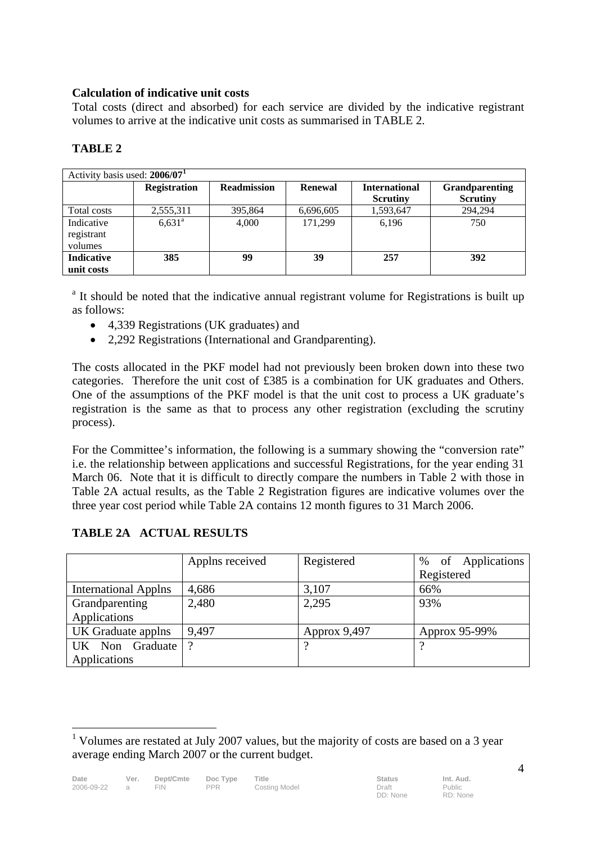# **Calculation of indicative unit costs**

Total costs (direct and absorbed) for each service are divided by the indicative registrant volumes to arrive at the indicative unit costs as summarised in TABLE 2.

# **TABLE 2**

| Activity basis used: 2006/07 <sup>1</sup> |                     |                    |                |                      |                                          |  |  |  |  |  |  |  |
|-------------------------------------------|---------------------|--------------------|----------------|----------------------|------------------------------------------|--|--|--|--|--|--|--|
|                                           | <b>Registration</b> | <b>Readmission</b> | <b>Renewal</b> | <b>International</b> | <b>Grandparenting</b><br><b>Scrutiny</b> |  |  |  |  |  |  |  |
|                                           |                     |                    |                | <b>Scrutiny</b>      |                                          |  |  |  |  |  |  |  |
| Total costs                               | 2,555,311           | 395,864            | 6,696,605      | 1,593,647            | 294,294                                  |  |  |  |  |  |  |  |
| Indicative                                | $6,631^{\circ}$     | 4,000              | 171.299        | 6.196                | 750                                      |  |  |  |  |  |  |  |
| registrant                                |                     |                    |                |                      |                                          |  |  |  |  |  |  |  |
| volumes                                   |                     |                    |                |                      |                                          |  |  |  |  |  |  |  |
| <b>Indicative</b>                         | 385                 | 99                 | 39             | 257                  | 392                                      |  |  |  |  |  |  |  |
| unit costs                                |                     |                    |                |                      |                                          |  |  |  |  |  |  |  |

<sup>a</sup> It should be noted that the indicative annual registrant volume for Registrations is built up as follows:

- 4,339 Registrations (UK graduates) and
- 2,292 Registrations (International and Grandparenting).

The costs allocated in the PKF model had not previously been broken down into these two categories. Therefore the unit cost of £385 is a combination for UK graduates and Others. One of the assumptions of the PKF model is that the unit cost to process a UK graduate's registration is the same as that to process any other registration (excluding the scrutiny process).

For the Committee's information, the following is a summary showing the "conversion rate" i.e. the relationship between applications and successful Registrations, for the year ending 31 March 06. Note that it is difficult to directly compare the numbers in Table 2 with those in Table 2A actual results, as the Table 2 Registration figures are indicative volumes over the three year cost period while Table 2A contains 12 month figures to 31 March 2006.

|                             | Applns received | Registered   | of Applications<br>$\%$ |
|-----------------------------|-----------------|--------------|-------------------------|
|                             |                 |              | Registered              |
| <b>International Applns</b> | 4,686           | 3,107        | 66%                     |
| Grandparenting              | 2,480           | 2,295        | 93%                     |
| Applications                |                 |              |                         |
| UK Graduate applns          | 9.497           | Approx 9,497 | Approx 95-99%           |
| UK Non Graduate             | റ               | റ            |                         |
| Applications                |                 |              |                         |

# **TABLE 2A ACTUAL RESULTS**

 $\overline{a}$ 

4

<sup>&</sup>lt;sup>1</sup> Volumes are restated at July 2007 values, but the majority of costs are based on a 3 year average ending March 2007 or the current budget.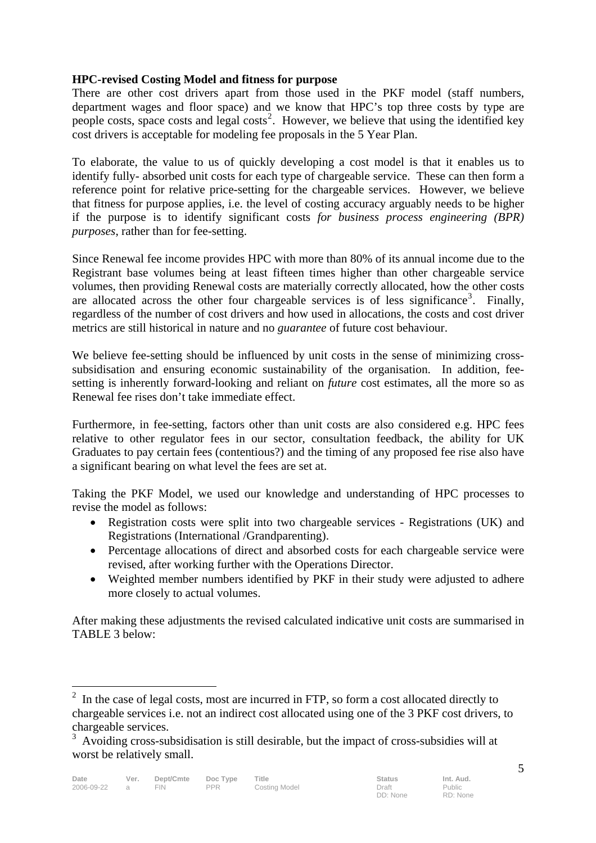# **HPC-revised Costing Model and fitness for purpose**

There are other cost drivers apart from those used in the PKF model (staff numbers, department wages and floor space) and we know that HPC's top three costs by type are people costs, space costs and legal costs<sup>2</sup>. However, we believe that using the identified key cost drivers is acceptable for modeling fee proposals in the 5 Year Plan.

To elaborate, the value to us of quickly developing a cost model is that it enables us to identify fully- absorbed unit costs for each type of chargeable service. These can then form a reference point for relative price-setting for the chargeable services. However, we believe that fitness for purpose applies, i.e. the level of costing accuracy arguably needs to be higher if the purpose is to identify significant costs *for business process engineering (BPR) purposes*, rather than for fee-setting.

Since Renewal fee income provides HPC with more than 80% of its annual income due to the Registrant base volumes being at least fifteen times higher than other chargeable service volumes, then providing Renewal costs are materially correctly allocated, how the other costs are allocated across the other four chargeable services is of less significance<sup>3</sup>. Finally, regardless of the number of cost drivers and how used in allocations, the costs and cost driver metrics are still historical in nature and no *guarantee* of future cost behaviour.

We believe fee-setting should be influenced by unit costs in the sense of minimizing crosssubsidisation and ensuring economic sustainability of the organisation. In addition, feesetting is inherently forward-looking and reliant on *future* cost estimates, all the more so as Renewal fee rises don't take immediate effect.

Furthermore, in fee-setting, factors other than unit costs are also considered e.g. HPC fees relative to other regulator fees in our sector, consultation feedback, the ability for UK Graduates to pay certain fees (contentious?) and the timing of any proposed fee rise also have a significant bearing on what level the fees are set at.

Taking the PKF Model, we used our knowledge and understanding of HPC processes to revise the model as follows:

- Registration costs were split into two chargeable services Registrations (UK) and Registrations (International /Grandparenting).
- Percentage allocations of direct and absorbed costs for each chargeable service were revised, after working further with the Operations Director.
- Weighted member numbers identified by PKF in their study were adjusted to adhere more closely to actual volumes.

After making these adjustments the revised calculated indicative unit costs are summarised in TABLE 3 below:

 $\overline{a}$ 

 $2<sup>2</sup>$  In the case of legal costs, most are incurred in FTP, so form a cost allocated directly to chargeable services i.e. not an indirect cost allocated using one of the 3 PKF cost drivers, to chargeable services.

<sup>&</sup>lt;sup>3</sup> Avoiding cross-subsidisation is still desirable, but the impact of cross-subsidies will at worst be relatively small.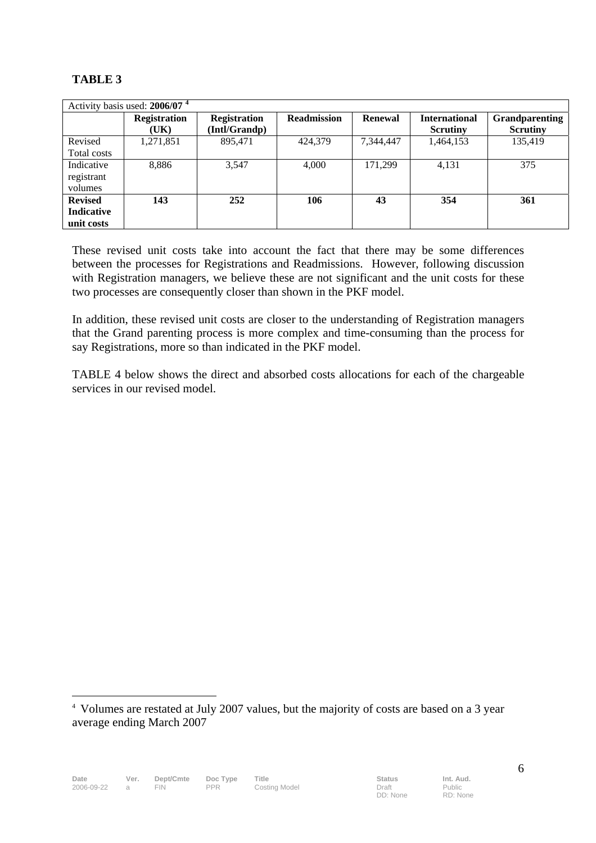# **TABLE 3**

|                   | Activity basis used: 2006/07 <sup>4</sup> |                     |                    |                |                      |                       |
|-------------------|-------------------------------------------|---------------------|--------------------|----------------|----------------------|-----------------------|
|                   | <b>Registration</b>                       | <b>Registration</b> | <b>Readmission</b> | <b>Renewal</b> | <b>International</b> | <b>Grandparenting</b> |
|                   | (UK)                                      | (Intl/Grandp)       |                    |                | <b>Scrutiny</b>      | <b>Scrutiny</b>       |
| Revised           | 1,271,851                                 | 895,471             | 424,379            | 7,344,447      | 1,464,153            | 135.419               |
| Total costs       |                                           |                     |                    |                |                      |                       |
| Indicative        | 8,886                                     | 3,547               | 4,000              | 171.299        | 4,131                | 375                   |
| registrant        |                                           |                     |                    |                |                      |                       |
| volumes           |                                           |                     |                    |                |                      |                       |
| <b>Revised</b>    | 143                                       | 252                 | 106                | 43             | 354                  | 361                   |
| <b>Indicative</b> |                                           |                     |                    |                |                      |                       |
| unit costs        |                                           |                     |                    |                |                      |                       |

These revised unit costs take into account the fact that there may be some differences between the processes for Registrations and Readmissions. However, following discussion with Registration managers, we believe these are not significant and the unit costs for these two processes are consequently closer than shown in the PKF model.

In addition, these revised unit costs are closer to the understanding of Registration managers that the Grand parenting process is more complex and time-consuming than the process for say Registrations, more so than indicated in the PKF model.

TABLE 4 below shows the direct and absorbed costs allocations for each of the chargeable services in our revised model.

 $\overline{a}$ 

<sup>4</sup> Volumes are restated at July 2007 values, but the majority of costs are based on a 3 year average ending March 2007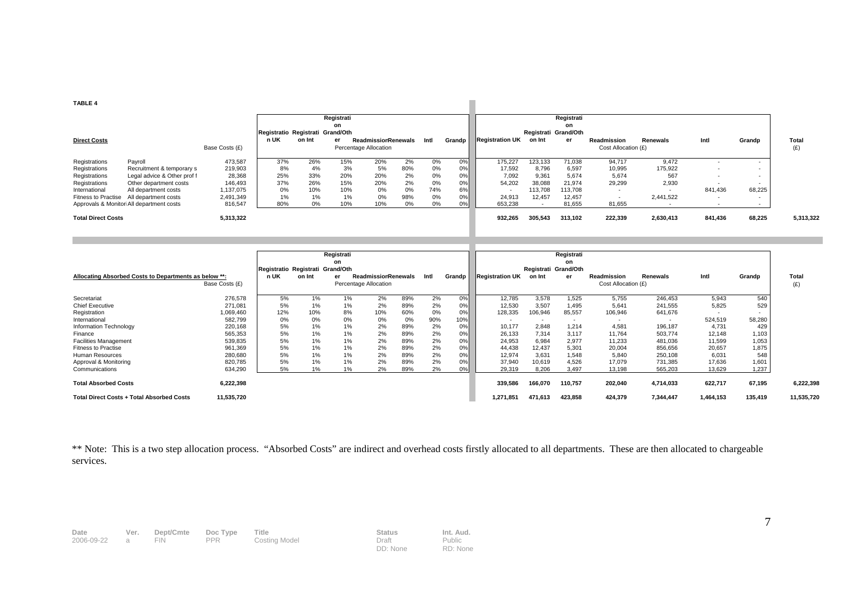#### **TABLE 4**

| <b>TABLE 4</b>                                                                                                  |                                                                                                                                                                                            |                                                                              |                                               |                                            |                                             |                                                      |                                          |                                         |                                        |                                                           |                                                          |                                                                   |                                                                                 |                                               |                                                                           |                                                                |                     |
|-----------------------------------------------------------------------------------------------------------------|--------------------------------------------------------------------------------------------------------------------------------------------------------------------------------------------|------------------------------------------------------------------------------|-----------------------------------------------|--------------------------------------------|---------------------------------------------|------------------------------------------------------|------------------------------------------|-----------------------------------------|----------------------------------------|-----------------------------------------------------------|----------------------------------------------------------|-------------------------------------------------------------------|---------------------------------------------------------------------------------|-----------------------------------------------|---------------------------------------------------------------------------|----------------------------------------------------------------|---------------------|
|                                                                                                                 |                                                                                                                                                                                            |                                                                              | Registratio Registrati Grand/Oth              |                                            | Registrati<br>on                            |                                                      |                                          |                                         |                                        |                                                           | Registrati Grand/Oth                                     | Registrati<br>on                                                  |                                                                                 |                                               |                                                                           |                                                                |                     |
| <b>Direct Costs</b>                                                                                             |                                                                                                                                                                                            | Base Costs (£)                                                               | n UK                                          | on Int                                     | er                                          | <b>Readmissior Renewals</b><br>Percentage Allocation |                                          | Intl                                    | Grandp                                 | <b>Registration UK</b>                                    | on Int                                                   | er                                                                | Readmission<br>Cost Allocation (£)                                              | Renewals                                      | Intl                                                                      | Grandp                                                         | <b>Total</b><br>(E) |
| Registrations<br>Registrations<br>Registrations<br>Registrations<br>International<br><b>Fitness to Practise</b> | Payroll<br>Recruitment & temporary s<br>Legal advice & Other prof f<br>Other department costs<br>All department costs<br>All department costs<br>Approvals & Monitori All department costs | 473,587<br>219,903<br>28,368<br>146,493<br>1,137,075<br>2,491,349<br>816,547 | 37%<br>8%<br>25%<br>37%<br>0%<br>$1\%$<br>80% | 26%<br>4%<br>33%<br>26%<br>10%<br>1%<br>0% | 15%<br>3%<br>20%<br>15%<br>10%<br>1%<br>10% | 20%<br>5%<br>20%<br>20%<br>0%<br>0%<br>10%           | 2%<br>80%<br>2%<br>2%<br>0%<br>98%<br>0% | 0%<br>0%<br>0%<br>0%<br>74%<br>0%<br>0% | 0%<br>0%<br>0%<br>0%<br>6%<br>0%<br>0% | 175,227<br>17,592<br>7,092<br>54,202<br>24,913<br>653,238 | 123.133<br>8.796<br>9.361<br>38,088<br>113,708<br>12,457 | 71,038<br>6,597<br>5,674<br>21,974<br>113,708<br>12,457<br>81,655 | 94,717<br>10,995<br>5,674<br>29,299<br>$\overline{\phantom{a}}$<br>٠.<br>81,655 | 9,472<br>175,922<br>567<br>2,930<br>2,441,522 | $\overline{\phantom{a}}$<br>$\overline{\phantom{a}}$<br>841,436<br>$\sim$ | $\overline{\phantom{0}}$<br>68,225<br>$\overline{\phantom{0}}$ |                     |
| <b>Total Direct Costs</b>                                                                                       |                                                                                                                                                                                            | 5,313,322                                                                    |                                               |                                            |                                             |                                                      |                                          |                                         |                                        | 932,265                                                   | 305,543                                                  | 313,102                                                           | 222,339                                                                         | 2,630,413                                     | 841,436                                                                   | 68,225                                                         | 5,313,322           |

|                                                       |                |                                  |        | Registrati |                            |     |      |        |                        |                      | Registrati               |                          |           |           |         |       |
|-------------------------------------------------------|----------------|----------------------------------|--------|------------|----------------------------|-----|------|--------|------------------------|----------------------|--------------------------|--------------------------|-----------|-----------|---------|-------|
|                                                       |                |                                  |        |            |                            |     |      |        |                        |                      |                          |                          |           |           |         |       |
|                                                       |                |                                  |        | on         |                            |     |      |        |                        |                      | on                       |                          |           |           |         |       |
|                                                       |                | Registratio Registrati Grand/Oth |        |            |                            |     |      |        |                        | Registrati Grand/Oth |                          |                          |           |           |         |       |
| Allocating Absorbed Costs to Departments as below **: |                | n UK                             | on Int | er         | <b>ReadmissiorRenewals</b> |     | Intl | Grandp | <b>Registration UK</b> | on Int               | er                       | Readmission              | Renewals  | Intl      | Grandp  | Total |
|                                                       | Base Costs (£) |                                  |        |            | Percentage Allocation      |     |      |        |                        |                      |                          | Cost Allocation (£)      |           |           |         |       |
|                                                       |                |                                  |        |            |                            |     |      |        |                        |                      |                          |                          |           |           |         |       |
| Secretariat                                           | 276,578        | 5%                               | 1%     | 1%         | 2%                         | 89% | 2%   | 0%     | 12,785                 | 3.578                | 1.525                    | 5.755                    | 246,453   | 5,943     | 540     |       |
| <b>Chief Executive</b>                                | 271,081        | 5%                               | 1%     | 1%         | 2%                         | 89% | 2%   | 0%     | 12,530                 | 3.507                | 1.495                    | 5,641                    | 241,555   | 5,825     | 529     |       |
| Registration                                          | 1,069,460      | 12%                              | 10%    | 8%         | 10%                        | 60% | 0%   | 0%     | 128,335                | 106,946              | 85,557                   | 106,946                  | 641,676   |           |         |       |
| International                                         | 582,799        | 0%                               | 0%     | 0%         | $0\%$                      | 0%  | 90%  | 10%    |                        | $\sim$               | $\overline{\phantom{a}}$ | $\overline{\phantom{a}}$ |           | 524,519   | 58,280  |       |
| Information Technology                                | 220,168        | 5%                               | 1%     | 1%         | 2%                         | 89% | 2%   | 0%     | 10,177                 | 2,848                | 1.214                    | 4,581                    | 196,187   | 4.731     | 429     |       |
| Finance                                               | 565,353        | 5%                               | 1%     | 1%         | 2%                         | 89% | 2%   | 0%     | 26,133                 | 7,314                | 3,117                    | 11,764                   | 503,774   | 12,148    | 1,103   |       |
| <b>Facilities Management</b>                          | 539,835        | 5%                               | 1%     | $1\%$      | 2%                         | 89% | 2%   | 0%     | 24,953                 | 6.984                | 2.977                    | 11,233                   | 481,036   | 11,599    | 1,053   |       |
| <b>Fitness to Practise</b>                            | 961,369        | 5%                               | 1%     | $1\%$      | 2%                         | 89% | 2%   | 0%     | 44,438                 | 12,437               | 5,301                    | 20,004                   | 856,656   | 20,657    | 1,875   |       |
| Human Resources                                       | 280,680        | 5%                               | 1%     | 1%         | 2%                         | 89% | 2%   | 0%     | 12,974                 | 3.631                | 1.548                    | 5.840                    | 250,108   | 6,031     | 548     |       |
| Approval & Monitoring                                 | 820,785        | 5%                               | 1%     | $1\%$      | 2%                         | 89% | 2%   | 0%     | 37,940                 | 10,619               | 4.526                    | 17,079                   | 731,385   | 17,636    | 1,601   |       |
| Communications                                        | 634,290        | 5%                               | 1%     | 1%         | 2%                         | 89% | 2%   | 0%     | 29,319                 | 8.206                | 3,497                    | 13,198                   | 565,203   | 13,629    | 1,237   |       |
| <b>Total Absorbed Costs</b>                           | 6,222,398      |                                  |        |            |                            |     |      |        | 339,586                | 166,070              | 110,757                  | 202,040                  | 4,714,033 | 622,717   | 67,195  |       |
| <b>Total Direct Costs + Total Absorbed Costs</b>      | 11,535,720     |                                  |        |            |                            |     |      |        | 1,271,851              | 471,613              | 423,858                  | 424,379                  | 7,344,447 | 1,464,153 | 135,419 |       |

\*\* Note: This is a two step allocation process. "Absorbed Costs" are indirect and overhead costs firstly allocated to all departments. These are then allocated to chargeable services.

| Date       | Ver. | Dept/Cmte | Doc Type   | <b>Title</b>  | <b>Status</b> | Int. Aud. |
|------------|------|-----------|------------|---------------|---------------|-----------|
| 2006-09-22 |      |           | <b>PPR</b> | Costing Model | Draft         | Public    |

DD: None

Public RD: None 7